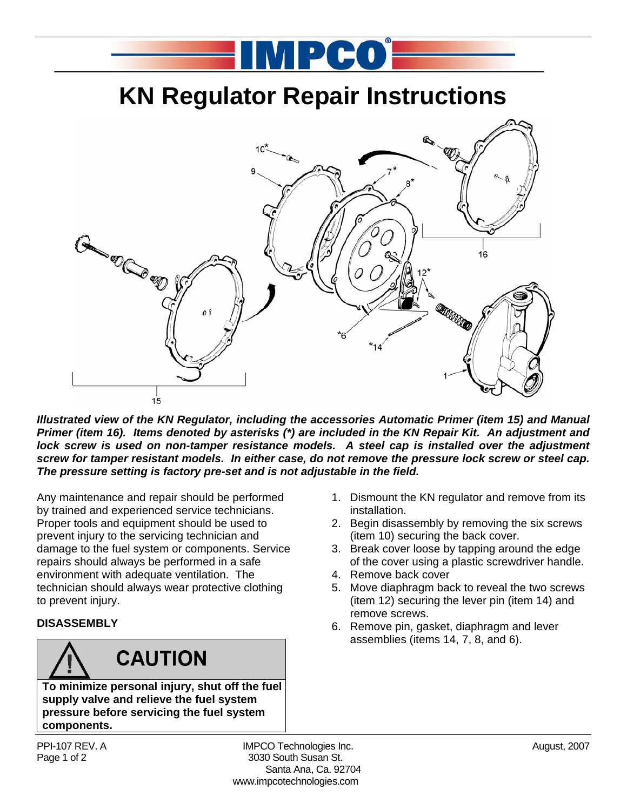## **KN Regulator Repair Instructions**

MPCO-



*Illustrated view of the KN Regulator, including the accessories Automatic Primer (item 15) and Manual Primer (item 16). Items denoted by asterisks (\*) are included in the KN Repair Kit. An adjustment and*  lock screw is used on non-tamper resistance models. A steel cap is installed over the adjustment *screw for tamper resistant models. In either case, do not remove the pressure lock screw or steel cap. The pressure setting is factory pre-set and is not adjustable in the field.* 

Any maintenance and repair should be performed by trained and experienced service technicians. Proper tools and equipment should be used to prevent injury to the servicing technician and damage to the fuel system or components. Service repairs should always be performed in a safe environment with adequate ventilation. The technician should always wear protective clothing to prevent injury.

#### **DISASSEMBLY**

## **CAUTION**

**To minimize personal injury, shut off the fuel supply valve and relieve the fuel system pressure before servicing the fuel system components.** 

PPI-107 REV. A **IMPCO Technologies Inc.** August, 2007 Page 1 of 2 3030 South Susan St. Santa Ana, Ca. 92704 www.impcotechnologies.com

- 1. Dismount the KN regulator and remove from its installation.
- 2. Begin disassembly by removing the six screws (item 10) securing the back cover.
- 3. Break cover loose by tapping around the edge of the cover using a plastic screwdriver handle.
- 4. Remove back cover
- 5. Move diaphragm back to reveal the two screws (item 12) securing the lever pin (item 14) and remove screws.
- 6. Remove pin, gasket, diaphragm and lever assemblies (items 14, 7, 8, and 6).